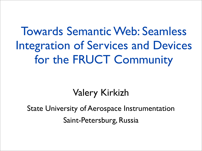### Towards Semantic Web: Seamless Integration of Services and Devices for the FRUCT Community

#### Valery Kirkizh

State University of Aerospace Instrumentation Saint-Petersburg, Russia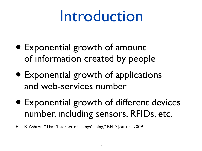# Introduction

- Exponential growth of amount of information created by people
- Exponential growth of applications and web-services number
- Exponential growth of different devices number, including sensors, RFIDs, etc.
- K. Ashton, "That 'Internet of Things' Thing," RFID Journal, 2009.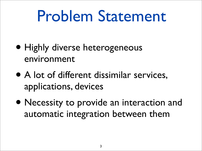# Problem Statement

- Highly diverse heterogeneous environment
- A lot of different dissimilar services, applications, devices
- Necessity to provide an interaction and automatic integration between them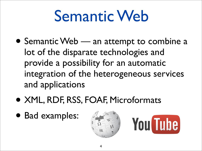# Semantic Web

- Semantic Web an attempt to combine a lot of the disparate technologies and provide a possibility for an automatic integration of the heterogeneous services and applications
- XML, RDF, RSS, FOAF, Microformats
- Bad examples:



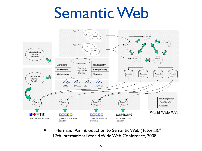## Semantic Web



• I. Herman, "An Introduction to Semantic Web (Tutorial)," 17th International World Wide Web Conference, 2008.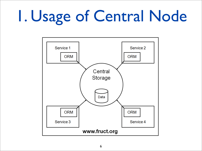# 1. Usage of Central Node

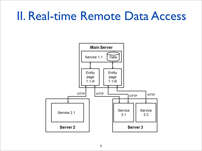### II. Real-time Remote Data Access

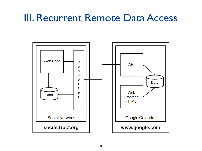#### III. Recurrent Remote Data Access

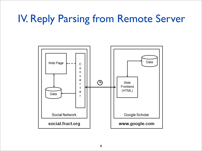#### IV. Reply Parsing from Remote Server

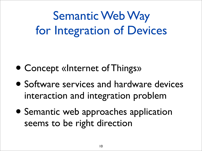Semantic Web Way for Integration of Devices

- Concept «Internet of Things»
- Software services and hardware devices interaction and integration problem
- Semantic web approaches application seems to be right direction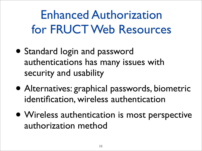### Enhanced Authorization for FRUCT Web Resources

- Standard login and password authentications has many issues with security and usability
- Alternatives: graphical passwords, biometric identification, wireless authentication
- Wireless authentication is most perspective authorization method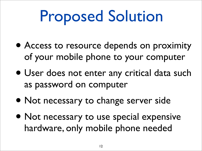# Proposed Solution

- Access to resource depends on proximity of your mobile phone to your computer
- User does not enter any critical data such as password on computer
- Not necessary to change server side
- Not necessary to use special expensive hardware, only mobile phone needed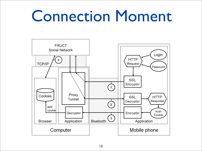## Connection Moment

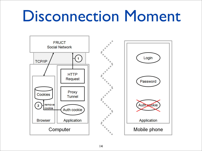# Disconnection Moment